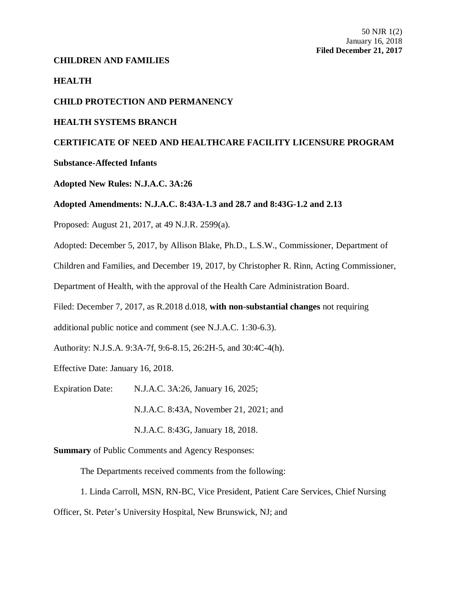# **CHILDREN AND FAMILIES**

**HEALTH**

# **CHILD PROTECTION AND PERMANENCY**

### **HEALTH SYSTEMS BRANCH**

# **CERTIFICATE OF NEED AND HEALTHCARE FACILITY LICENSURE PROGRAM**

# **Substance-Affected Infants**

### **Adopted New Rules: N.J.A.C. 3A:26**

### **Adopted Amendments: N.J.A.C. 8:43A-1.3 and 28.7 and 8:43G-1.2 and 2.13**

Proposed: August 21, 2017, at 49 N.J.R. 2599(a).

Adopted: December 5, 2017, by Allison Blake, Ph.D., L.S.W., Commissioner, Department of

Children and Families, and December 19, 2017, by Christopher R. Rinn, Acting Commissioner,

Department of Health, with the approval of the Health Care Administration Board.

Filed: December 7, 2017, as R.2018 d.018, **with non-substantial changes** not requiring

additional public notice and comment (see N.J.A.C. 1:30-6.3).

Authority: N.J.S.A. 9:3A-7f, 9:6-8.15, 26:2H-5, and 30:4C-4(h).

Effective Date: January 16, 2018.

Expiration Date: N.J.A.C. 3A:26, January 16, 2025;

N.J.A.C. 8:43A, November 21, 2021; and

N.J.A.C. 8:43G, January 18, 2018.

**Summary** of Public Comments and Agency Responses:

The Departments received comments from the following:

1. Linda Carroll, MSN, RN-BC, Vice President, Patient Care Services, Chief Nursing

Officer, St. Peter's University Hospital, New Brunswick, NJ; and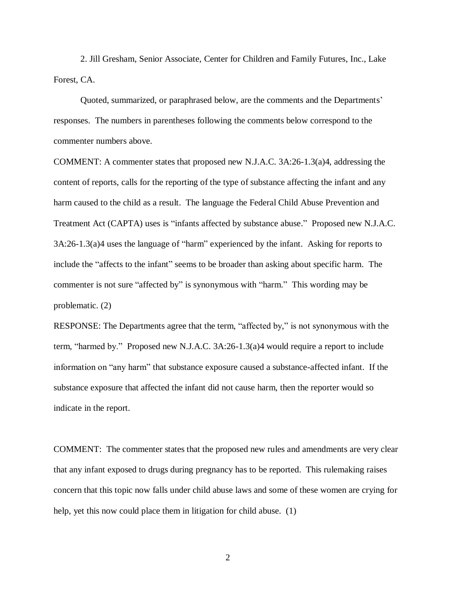2. Jill Gresham, Senior Associate, Center for Children and Family Futures, Inc., Lake Forest, CA.

Quoted, summarized, or paraphrased below, are the comments and the Departments' responses. The numbers in parentheses following the comments below correspond to the commenter numbers above.

COMMENT: A commenter states that proposed new N.J.A.C. 3A:26-1.3(a)4, addressing the content of reports, calls for the reporting of the type of substance affecting the infant and any harm caused to the child as a result. The language the Federal Child Abuse Prevention and Treatment Act (CAPTA) uses is "infants affected by substance abuse." Proposed new N.J.A.C. 3A:26-1.3(a)4 uses the language of "harm" experienced by the infant. Asking for reports to include the "affects to the infant" seems to be broader than asking about specific harm. The commenter is not sure "affected by" is synonymous with "harm." This wording may be problematic. (2)

RESPONSE: The Departments agree that the term, "affected by," is not synonymous with the term, "harmed by." Proposed new N.J.A.C. 3A:26-1.3(a)4 would require a report to include information on "any harm" that substance exposure caused a substance-affected infant. If the substance exposure that affected the infant did not cause harm, then the reporter would so indicate in the report.

COMMENT: The commenter states that the proposed new rules and amendments are very clear that any infant exposed to drugs during pregnancy has to be reported. This rulemaking raises concern that this topic now falls under child abuse laws and some of these women are crying for help, yet this now could place them in litigation for child abuse. (1)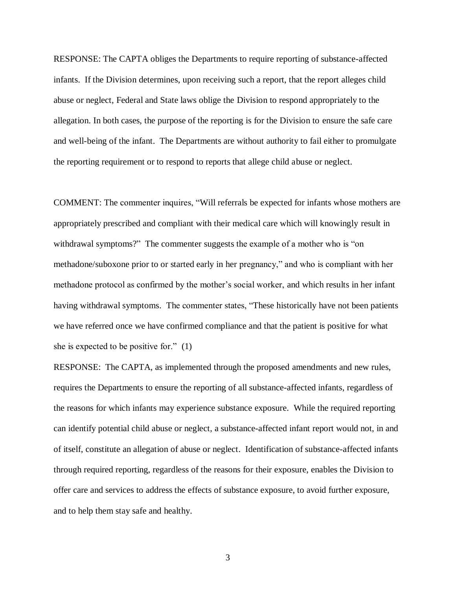RESPONSE: The CAPTA obliges the Departments to require reporting of substance-affected infants. If the Division determines, upon receiving such a report, that the report alleges child abuse or neglect, Federal and State laws oblige the Division to respond appropriately to the allegation. In both cases, the purpose of the reporting is for the Division to ensure the safe care and well-being of the infant. The Departments are without authority to fail either to promulgate the reporting requirement or to respond to reports that allege child abuse or neglect.

COMMENT: The commenter inquires, "Will referrals be expected for infants whose mothers are appropriately prescribed and compliant with their medical care which will knowingly result in withdrawal symptoms?" The commenter suggests the example of a mother who is "on methadone/suboxone prior to or started early in her pregnancy," and who is compliant with her methadone protocol as confirmed by the mother's social worker, and which results in her infant having withdrawal symptoms. The commenter states, "These historically have not been patients we have referred once we have confirmed compliance and that the patient is positive for what she is expected to be positive for." (1)

RESPONSE: The CAPTA, as implemented through the proposed amendments and new rules, requires the Departments to ensure the reporting of all substance-affected infants, regardless of the reasons for which infants may experience substance exposure. While the required reporting can identify potential child abuse or neglect, a substance-affected infant report would not, in and of itself, constitute an allegation of abuse or neglect. Identification of substance-affected infants through required reporting, regardless of the reasons for their exposure, enables the Division to offer care and services to address the effects of substance exposure, to avoid further exposure, and to help them stay safe and healthy.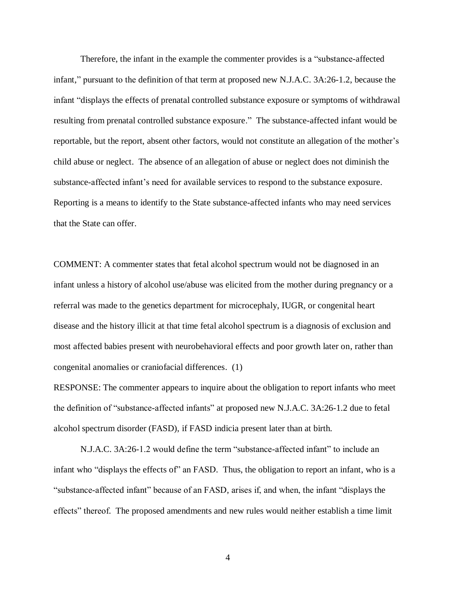Therefore, the infant in the example the commenter provides is a "substance-affected infant," pursuant to the definition of that term at proposed new N.J.A.C. 3A:26-1.2, because the infant "displays the effects of prenatal controlled substance exposure or symptoms of withdrawal resulting from prenatal controlled substance exposure." The substance-affected infant would be reportable, but the report, absent other factors, would not constitute an allegation of the mother's child abuse or neglect. The absence of an allegation of abuse or neglect does not diminish the substance-affected infant's need for available services to respond to the substance exposure. Reporting is a means to identify to the State substance-affected infants who may need services that the State can offer.

COMMENT: A commenter states that fetal alcohol spectrum would not be diagnosed in an infant unless a history of alcohol use/abuse was elicited from the mother during pregnancy or a referral was made to the genetics department for microcephaly, IUGR, or congenital heart disease and the history illicit at that time fetal alcohol spectrum is a diagnosis of exclusion and most affected babies present with neurobehavioral effects and poor growth later on, rather than congenital anomalies or craniofacial differences. (1)

RESPONSE: The commenter appears to inquire about the obligation to report infants who meet the definition of "substance-affected infants" at proposed new N.J.A.C. 3A:26-1.2 due to fetal alcohol spectrum disorder (FASD), if FASD indicia present later than at birth.

N.J.A.C. 3A:26-1.2 would define the term "substance-affected infant" to include an infant who "displays the effects of" an FASD. Thus, the obligation to report an infant, who is a "substance-affected infant" because of an FASD, arises if, and when, the infant "displays the effects" thereof. The proposed amendments and new rules would neither establish a time limit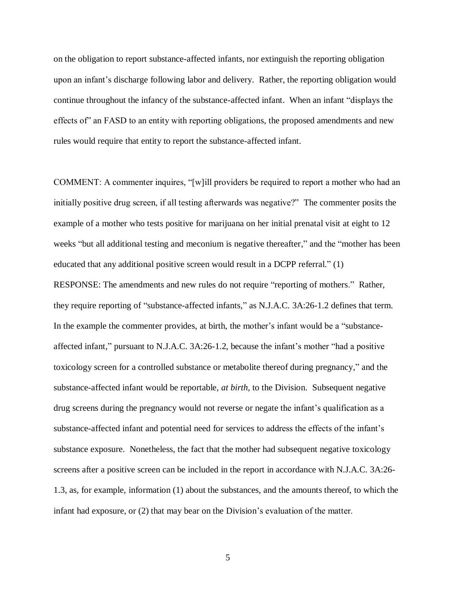on the obligation to report substance-affected infants, nor extinguish the reporting obligation upon an infant's discharge following labor and delivery. Rather, the reporting obligation would continue throughout the infancy of the substance-affected infant. When an infant "displays the effects of" an FASD to an entity with reporting obligations, the proposed amendments and new rules would require that entity to report the substance-affected infant.

COMMENT: A commenter inquires, "[w]ill providers be required to report a mother who had an initially positive drug screen, if all testing afterwards was negative?" The commenter posits the example of a mother who tests positive for marijuana on her initial prenatal visit at eight to 12 weeks "but all additional testing and meconium is negative thereafter," and the "mother has been educated that any additional positive screen would result in a DCPP referral." (1)

RESPONSE: The amendments and new rules do not require "reporting of mothers." Rather, they require reporting of "substance-affected infants," as N.J.A.C. 3A:26-1.2 defines that term. In the example the commenter provides, at birth, the mother's infant would be a "substanceaffected infant," pursuant to N.J.A.C. 3A:26-1.2, because the infant's mother "had a positive toxicology screen for a controlled substance or metabolite thereof during pregnancy," and the substance-affected infant would be reportable, *at birth,* to the Division. Subsequent negative drug screens during the pregnancy would not reverse or negate the infant's qualification as a substance-affected infant and potential need for services to address the effects of the infant's substance exposure. Nonetheless, the fact that the mother had subsequent negative toxicology screens after a positive screen can be included in the report in accordance with N.J.A.C. 3A:26- 1.3, as, for example, information (1) about the substances, and the amounts thereof, to which the infant had exposure, or (2) that may bear on the Division's evaluation of the matter.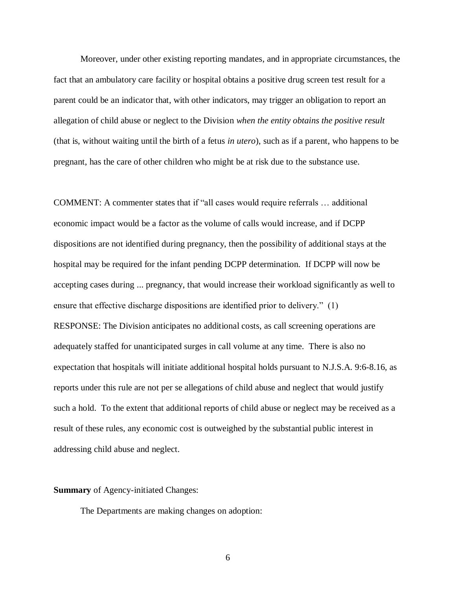Moreover, under other existing reporting mandates, and in appropriate circumstances, the fact that an ambulatory care facility or hospital obtains a positive drug screen test result for a parent could be an indicator that, with other indicators, may trigger an obligation to report an allegation of child abuse or neglect to the Division *when the entity obtains the positive result* (that is, without waiting until the birth of a fetus *in utero*), such as if a parent, who happens to be pregnant, has the care of other children who might be at risk due to the substance use.

COMMENT: A commenter states that if "all cases would require referrals … additional economic impact would be a factor as the volume of calls would increase, and if DCPP dispositions are not identified during pregnancy, then the possibility of additional stays at the hospital may be required for the infant pending DCPP determination. If DCPP will now be accepting cases during ... pregnancy, that would increase their workload significantly as well to ensure that effective discharge dispositions are identified prior to delivery." (1) RESPONSE: The Division anticipates no additional costs, as call screening operations are adequately staffed for unanticipated surges in call volume at any time. There is also no expectation that hospitals will initiate additional hospital holds pursuant to N.J.S.A. 9:6-8.16, as reports under this rule are not per se allegations of child abuse and neglect that would justify such a hold. To the extent that additional reports of child abuse or neglect may be received as a result of these rules, any economic cost is outweighed by the substantial public interest in addressing child abuse and neglect.

### **Summary** of Agency-initiated Changes:

The Departments are making changes on adoption: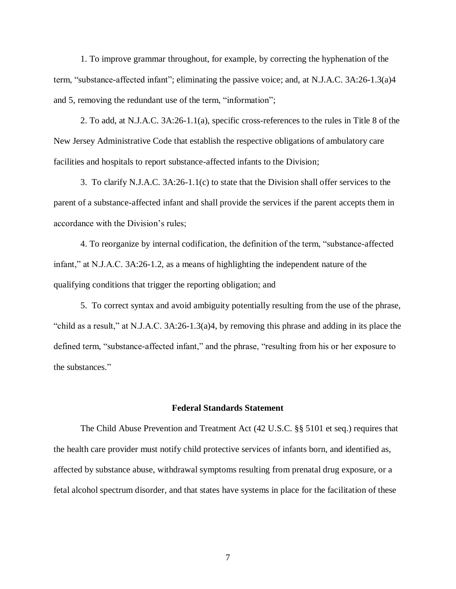1. To improve grammar throughout, for example, by correcting the hyphenation of the term, "substance-affected infant"; eliminating the passive voice; and, at N.J.A.C. 3A:26-1.3(a)4 and 5, removing the redundant use of the term, "information";

2. To add, at N.J.A.C. 3A:26-1.1(a), specific cross-references to the rules in Title 8 of the New Jersey Administrative Code that establish the respective obligations of ambulatory care facilities and hospitals to report substance-affected infants to the Division;

3. To clarify N.J.A.C. 3A:26-1.1(c) to state that the Division shall offer services to the parent of a substance-affected infant and shall provide the services if the parent accepts them in accordance with the Division's rules;

4. To reorganize by internal codification, the definition of the term, "substance-affected infant," at N.J.A.C. 3A:26-1.2, as a means of highlighting the independent nature of the qualifying conditions that trigger the reporting obligation; and

5. To correct syntax and avoid ambiguity potentially resulting from the use of the phrase, "child as a result," at N.J.A.C. 3A:26-1.3(a)4, by removing this phrase and adding in its place the defined term, "substance-affected infant," and the phrase, "resulting from his or her exposure to the substances."

#### **Federal Standards Statement**

The Child Abuse Prevention and Treatment Act (42 U.S.C. §§ 5101 et seq.) requires that the health care provider must notify child protective services of infants born, and identified as, affected by substance abuse, withdrawal symptoms resulting from prenatal drug exposure, or a fetal alcohol spectrum disorder, and that states have systems in place for the facilitation of these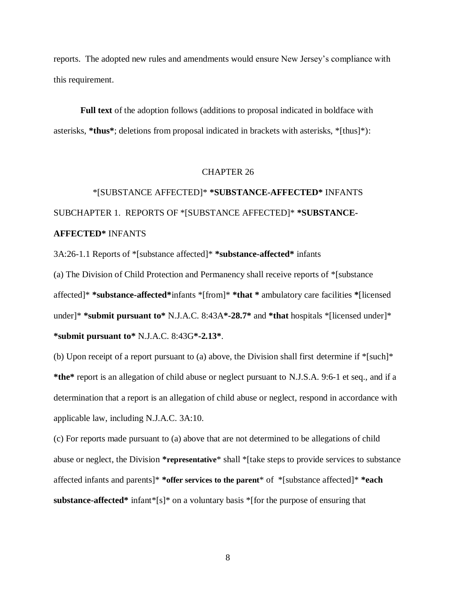reports. The adopted new rules and amendments would ensure New Jersey's compliance with this requirement.

**Full text** of the adoption follows (additions to proposal indicated in boldface with asterisks, **\*thus\***; deletions from proposal indicated in brackets with asterisks, \*[thus]\*):

# CHAPTER 26

# \*[SUBSTANCE AFFECTED]\* **\*SUBSTANCE-AFFECTED\*** INFANTS SUBCHAPTER 1. REPORTS OF \*[SUBSTANCE AFFECTED]\* **\*SUBSTANCE-AFFECTED\*** INFANTS

3A:26-1.1 Reports of \*[substance affected]\* **\*substance-affected\*** infants

(a) The Division of Child Protection and Permanency shall receive reports of \*[substance affected]\* **\*substance-affected\***infants \*[from]\* **\*that \*** ambulatory care facilities **\***[licensed under]\* **\*submit pursuant to\*** N.J.A.C. 8:43A**\*-28.7\*** and **\*that** hospitals \*[licensed under]\* **\*submit pursuant to\*** N.J.A.C. 8:43G**\*-2.13\***.

(b) Upon receipt of a report pursuant to (a) above, the Division shall first determine if  $\frac{1}{2}$ [such]\* **\*the\*** report is an allegation of child abuse or neglect pursuant to N.J.S.A. 9:6-1 et seq., and if a determination that a report is an allegation of child abuse or neglect, respond in accordance with applicable law, including N.J.A.C. 3A:10.

(c) For reports made pursuant to (a) above that are not determined to be allegations of child abuse or neglect, the Division **\*representative**\* shall \*[take steps to provide services to substance affected infants and parents]\* **\*offer services to the parent**\* of \*[substance affected]\* **\*each substance-affected\*** infant\*[s]\* on a voluntary basis \*[for the purpose of ensuring that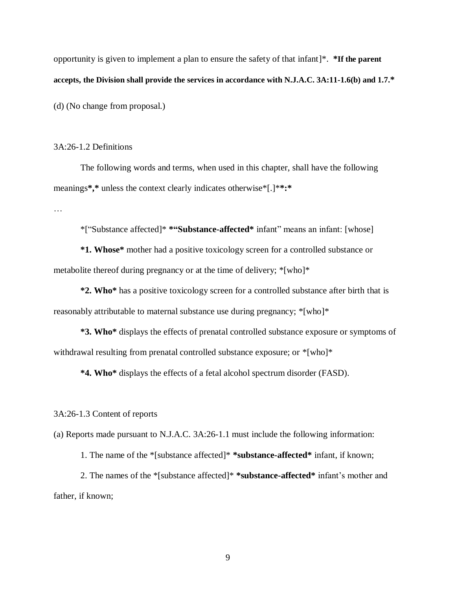opportunity is given to implement a plan to ensure the safety of that infant]\*. **\*If the parent accepts, the Division shall provide the services in accordance with N.J.A.C. 3A:11-1.6(b) and 1.7.\***

(d) (No change from proposal.)

# 3A:26-1.2 Definitions

The following words and terms, when used in this chapter, shall have the following meanings**\*,\*** unless the context clearly indicates otherwise\*[.]\***\*:\***

…

\*["Substance affected]\* **\*"Substance-affected\*** infant" means an infant: [whose]

**\*1. Whose\*** mother had a positive toxicology screen for a controlled substance or metabolite thereof during pregnancy or at the time of delivery; \*[who]\*

**\*2. Who\*** has a positive toxicology screen for a controlled substance after birth that is reasonably attributable to maternal substance use during pregnancy; \*[who]\*

**\*3. Who\*** displays the effects of prenatal controlled substance exposure or symptoms of withdrawal resulting from prenatal controlled substance exposure; or  $*[who]*$ 

**\*4. Who\*** displays the effects of a fetal alcohol spectrum disorder (FASD).

3A:26-1.3 Content of reports

(a) Reports made pursuant to N.J.A.C. 3A:26-1.1 must include the following information:

1. The name of the \*[substance affected]\* **\*substance-affected\*** infant, if known;

2. The names of the \*[substance affected]\* **\*substance-affected\*** infant's mother and father, if known;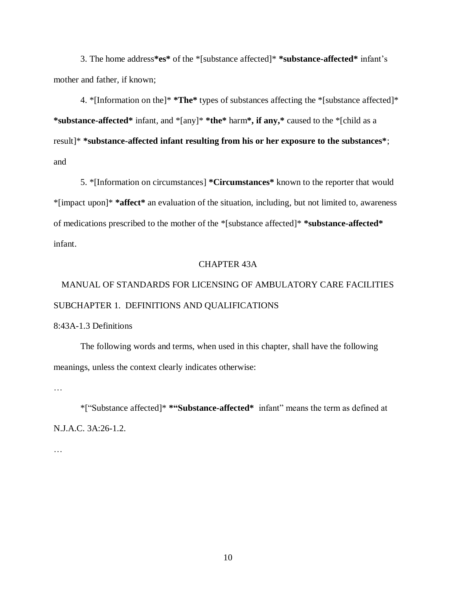3. The home address**\*es\*** of the \*[substance affected]\* **\*substance-affected\*** infant's mother and father, if known;

4. \*[Information on the]\* **\*The\*** types of substances affecting the \*[substance affected]\* **\*substance-affected\*** infant, and \*[any]\* **\*the\*** harm**\*, if any,\*** caused to the \*[child as a result]\* **\*substance-affected infant resulting from his or her exposure to the substances\***; and

5. \*[Information on circumstances] **\*Circumstances\*** known to the reporter that would \*[impact upon]\* **\*affect\*** an evaluation of the situation, including, but not limited to, awareness of medications prescribed to the mother of the \*[substance affected]\* **\*substance-affected\*** infant.

### CHAPTER 43A

# MANUAL OF STANDARDS FOR LICENSING OF AMBULATORY CARE FACILITIES SUBCHAPTER 1. DEFINITIONS AND QUALIFICATIONS

### 8:43A-1.3 Definitions

The following words and terms, when used in this chapter, shall have the following meanings, unless the context clearly indicates otherwise:

…

\*["Substance affected]\* **\*"Substance-affected\*** infant" means the term as defined at N.J.A.C. 3A:26-1.2.

…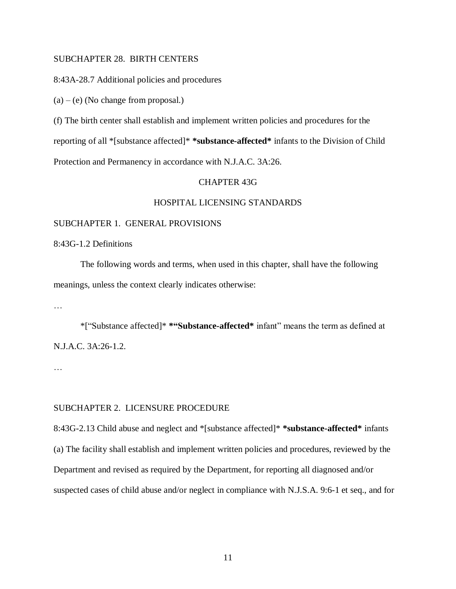# SUBCHAPTER 28. BIRTH CENTERS

8:43A-28.7 Additional policies and procedures

 $(a) - (e)$  (No change from proposal.)

(f) The birth center shall establish and implement written policies and procedures for the

reporting of all \*[substance affected]\* **\*substance-affected\*** infants to the Division of Child

Protection and Permanency in accordance with N.J.A.C. 3A:26.

# CHAPTER 43G

### HOSPITAL LICENSING STANDARDS

#### SUBCHAPTER 1. GENERAL PROVISIONS

8:43G-1.2 Definitions

The following words and terms, when used in this chapter, shall have the following meanings, unless the context clearly indicates otherwise:

…

\*["Substance affected]\* **\*"Substance-affected\*** infant" means the term as defined at N.J.A.C. 3A:26-1.2.

…

### SUBCHAPTER 2. LICENSURE PROCEDURE

8:43G-2.13 Child abuse and neglect and \*[substance affected]\* **\*substance-affected\*** infants (a) The facility shall establish and implement written policies and procedures, reviewed by the Department and revised as required by the Department, for reporting all diagnosed and/or suspected cases of child abuse and/or neglect in compliance with N.J.S.A. 9:6-1 et seq., and for